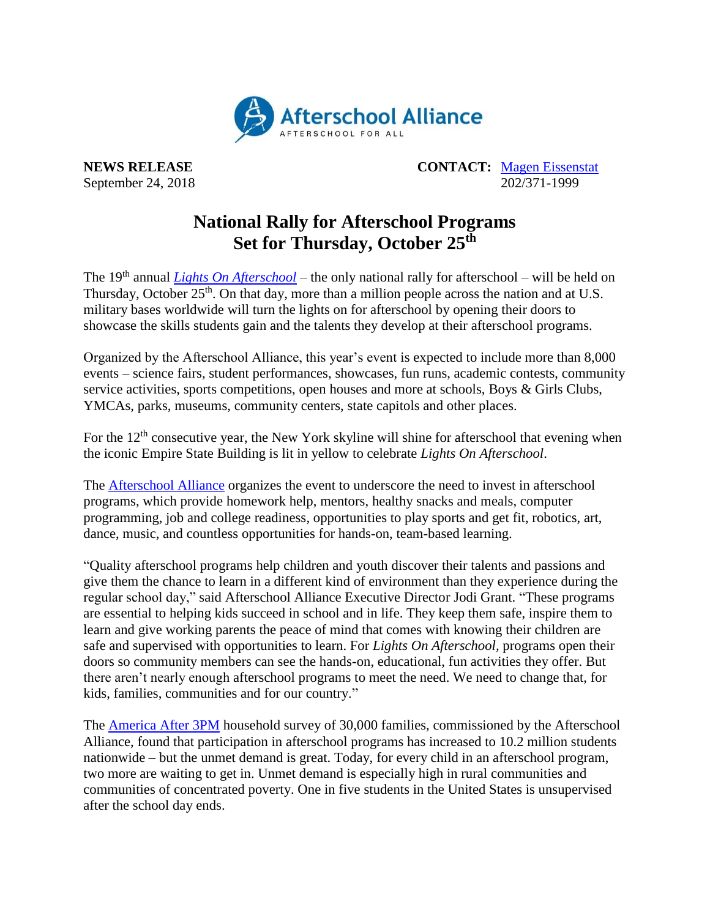

**NEWS RELEASE CONTACT:** [Magen Eissenstat](mailto:magen@prsolutionsdc.com) September 24, 2018 202/371-1999

## **National Rally for Afterschool Programs Set for Thursday, October 25 th**

The 19th annual *[Lights On Afterschool](http://www.afterschoolalliance.org/loa.cfm)* – the only national rally for afterschool – will be held on Thursday, October 25<sup>th</sup>. On that day, more than a million people across the nation and at U.S. military bases worldwide will turn the lights on for afterschool by opening their doors to showcase the skills students gain and the talents they develop at their afterschool programs.

Organized by the Afterschool Alliance, this year's event is expected to include more than 8,000 events – science fairs, student performances, showcases, fun runs, academic contests, community service activities, sports competitions, open houses and more at schools, Boys & Girls Clubs, YMCAs, parks, museums, community centers, state capitols and other places.

For the  $12<sup>th</sup>$  consecutive year, the New York skyline will shine for afterschool that evening when the iconic Empire State Building is lit in yellow to celebrate *Lights On Afterschool*.

The [Afterschool Alliance](http://www.afterschoolalliance.org/) organizes the event to underscore the need to invest in afterschool programs, which provide homework help, mentors, healthy snacks and meals, computer programming, job and college readiness, opportunities to play sports and get fit, robotics, art, dance, music, and countless opportunities for hands-on, team-based learning.

"Quality afterschool programs help children and youth discover their talents and passions and give them the chance to learn in a different kind of environment than they experience during the regular school day," said Afterschool Alliance Executive Director Jodi Grant. "These programs are essential to helping kids succeed in school and in life. They keep them safe, inspire them to learn and give working parents the peace of mind that comes with knowing their children are safe and supervised with opportunities to learn. For *Lights On Afterschool,* programs open their doors so community members can see the hands-on, educational, fun activities they offer. But there aren't nearly enough afterschool programs to meet the need. We need to change that, for kids, families, communities and for our country."

The [America After 3PM](http://www.afterschoolalliance.org/AA3PM/) household survey of 30,000 families, commissioned by the Afterschool Alliance, found that participation in afterschool programs has increased to 10.2 million students nationwide – but the unmet demand is great. Today, for every child in an afterschool program, two more are waiting to get in. Unmet demand is especially high in rural communities and communities of concentrated poverty. One in five students in the United States is unsupervised after the school day ends.